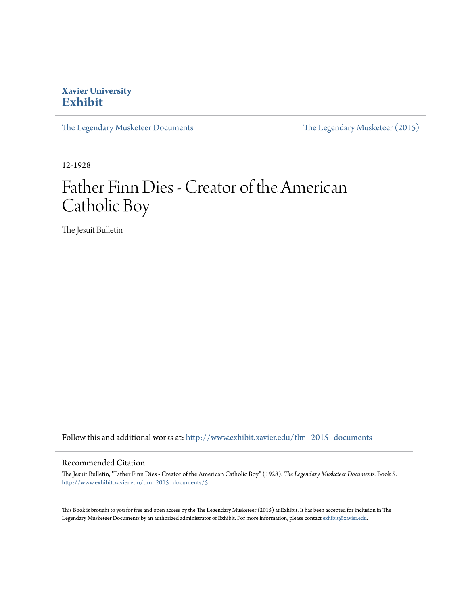#### **Xavier University [Exhibit](http://www.exhibit.xavier.edu?utm_source=www.exhibit.xavier.edu%2Ftlm_2015_documents%2F5&utm_medium=PDF&utm_campaign=PDFCoverPages)**

[The Legendary Musketeer Documents](http://www.exhibit.xavier.edu/tlm_2015_documents?utm_source=www.exhibit.xavier.edu%2Ftlm_2015_documents%2F5&utm_medium=PDF&utm_campaign=PDFCoverPages) [The Legendary Musketeer \(2015\)](http://www.exhibit.xavier.edu/tlm_2015?utm_source=www.exhibit.xavier.edu%2Ftlm_2015_documents%2F5&utm_medium=PDF&utm_campaign=PDFCoverPages)

12-1928

### Father Finn Dies - Creator of the American Catholic Boy

The Jesuit Bulletin

Follow this and additional works at: [http://www.exhibit.xavier.edu/tlm\\_2015\\_documents](http://www.exhibit.xavier.edu/tlm_2015_documents?utm_source=www.exhibit.xavier.edu%2Ftlm_2015_documents%2F5&utm_medium=PDF&utm_campaign=PDFCoverPages)

#### Recommended Citation

The Jesuit Bulletin, "Father Finn Dies - Creator of the American Catholic Boy" (1928). *The Legendary Musketeer Documents.* Book 5. [http://www.exhibit.xavier.edu/tlm\\_2015\\_documents/5](http://www.exhibit.xavier.edu/tlm_2015_documents/5?utm_source=www.exhibit.xavier.edu%2Ftlm_2015_documents%2F5&utm_medium=PDF&utm_campaign=PDFCoverPages)

This Book is brought to you for free and open access by the The Legendary Musketeer (2015) at Exhibit. It has been accepted for inclusion in The Legendary Musketeer Documents by an authorized administrator of Exhibit. For more information, please contact [exhibit@xavier.edu.](mailto:exhibit@xavier.edu)